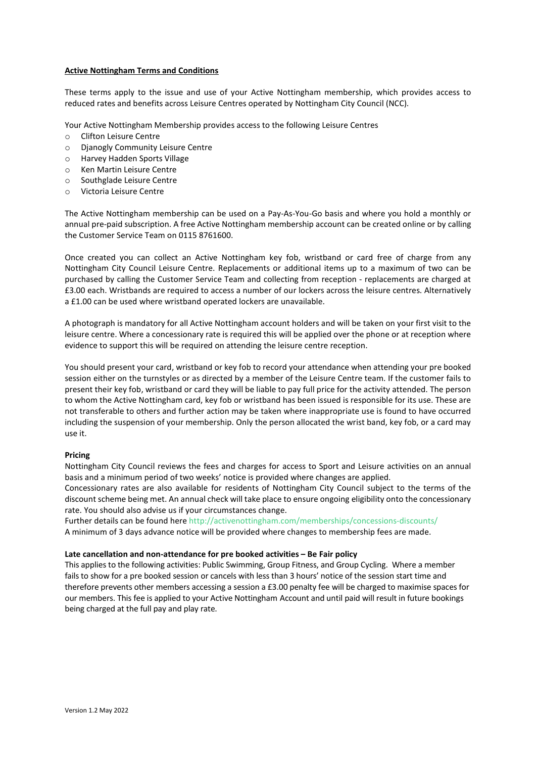## Active Nottingham Terms and Conditions

These terms apply to the issue and use of your Active Nottingham membership, which provides access to reduced rates and benefits across Leisure Centres operated by Nottingham City Council (NCC).

- Your Active Nottingham Membership provides access to the following Leisure Centres
- o Clifton Leisure Centre
- o Djanogly Community Leisure Centre
- o Harvey Hadden Sports Village
- o Ken Martin Leisure Centre
- o Southglade Leisure Centre
- o Victoria Leisure Centre

The Active Nottingham membership can be used on a Pay-As-You-Go basis and where you hold a monthly or annual pre-paid subscription. A free Active Nottingham membership account can be created online or by calling the Customer Service Team on 0115 8761600.

Once created you can collect an Active Nottingham key fob, wristband or card free of charge from any Nottingham City Council Leisure Centre. Replacements or additional items up to a maximum of two can be purchased by calling the Customer Service Team and collecting from reception - replacements are charged at £3.00 each. Wristbands are required to access a number of our lockers across the leisure centres. Alternatively a £1.00 can be used where wristband operated lockers are unavailable.

A photograph is mandatory for all Active Nottingham account holders and will be taken on your first visit to the leisure centre. Where a concessionary rate is required this will be applied over the phone or at reception where evidence to support this will be required on attending the leisure centre reception.

You should present your card, wristband or key fob to record your attendance when attending your pre booked session either on the turnstyles or as directed by a member of the Leisure Centre team. If the customer fails to present their key fob, wristband or card they will be liable to pay full price for the activity attended. The person to whom the Active Nottingham card, key fob or wristband has been issued is responsible for its use. These are not transferable to others and further action may be taken where inappropriate use is found to have occurred including the suspension of your membership. Only the person allocated the wrist band, key fob, or a card may use it.

#### Pricing

Nottingham City Council reviews the fees and charges for access to Sport and Leisure activities on an annual basis and a minimum period of two weeks' notice is provided where changes are applied.

Concessionary rates are also available for residents of Nottingham City Council subject to the terms of the discount scheme being met. An annual check will take place to ensure ongoing eligibility onto the concessionary rate. You should also advise us if your circumstances change.

Further details can be found here http://activenottingham.com/memberships/concessions-discounts/ A minimum of 3 days advance notice will be provided where changes to membership fees are made.

#### Late cancellation and non-attendance for pre booked activities – Be Fair policy

This applies to the following activities: Public Swimming, Group Fitness, and Group Cycling. Where a member fails to show for a pre booked session or cancels with less than 3 hours' notice of the session start time and therefore prevents other members accessing a session a £3.00 penalty fee will be charged to maximise spaces for our members. This fee is applied to your Active Nottingham Account and until paid will result in future bookings being charged at the full pay and play rate.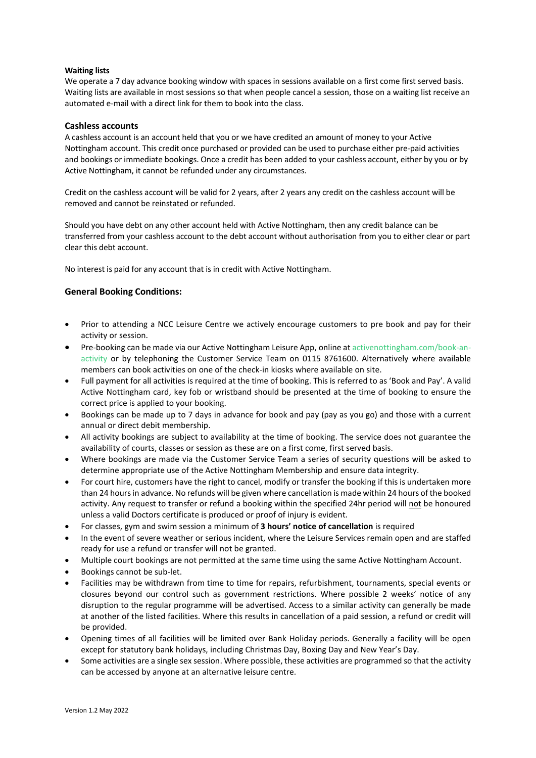## Waiting lists

We operate a 7 day advance booking window with spaces in sessions available on a first come first served basis. Waiting lists are available in most sessions so that when people cancel a session, those on a waiting list receive an automated e-mail with a direct link for them to book into the class.

## Cashless accounts

A cashless account is an account held that you or we have credited an amount of money to your Active Nottingham account. This credit once purchased or provided can be used to purchase either pre-paid activities and bookings or immediate bookings. Once a credit has been added to your cashless account, either by you or by Active Nottingham, it cannot be refunded under any circumstances.

Credit on the cashless account will be valid for 2 years, after 2 years any credit on the cashless account will be removed and cannot be reinstated or refunded.

Should you have debt on any other account held with Active Nottingham, then any credit balance can be transferred from your cashless account to the debt account without authorisation from you to either clear or part clear this debt account.

No interest is paid for any account that is in credit with Active Nottingham.

# General Booking Conditions:

- Prior to attending a NCC Leisure Centre we actively encourage customers to pre book and pay for their activity or session.
- Pre-booking can be made via our Active Nottingham Leisure App, online at activenottingham.com/book-anactivity or by telephoning the Customer Service Team on 0115 8761600. Alternatively where available members can book activities on one of the check-in kiosks where available on site.
- Full payment for all activities is required at the time of booking. This is referred to as 'Book and Pay'. A valid Active Nottingham card, key fob or wristband should be presented at the time of booking to ensure the correct price is applied to your booking.
- Bookings can be made up to 7 days in advance for book and pay (pay as you go) and those with a current annual or direct debit membership.
- All activity bookings are subject to availability at the time of booking. The service does not guarantee the availability of courts, classes or session as these are on a first come, first served basis.
- Where bookings are made via the Customer Service Team a series of security questions will be asked to determine appropriate use of the Active Nottingham Membership and ensure data integrity.
- For court hire, customers have the right to cancel, modify or transfer the booking if this is undertaken more than 24 hours in advance. No refunds will be given where cancellation is made within 24 hours of the booked activity. Any request to transfer or refund a booking within the specified 24hr period will not be honoured unless a valid Doctors certificate is produced or proof of injury is evident.
- For classes, gym and swim session a minimum of 3 hours' notice of cancellation is required
- In the event of severe weather or serious incident, where the Leisure Services remain open and are staffed ready for use a refund or transfer will not be granted.
- Multiple court bookings are not permitted at the same time using the same Active Nottingham Account.
- Bookings cannot be sub-let.
- Facilities may be withdrawn from time to time for repairs, refurbishment, tournaments, special events or closures beyond our control such as government restrictions. Where possible 2 weeks' notice of any disruption to the regular programme will be advertised. Access to a similar activity can generally be made at another of the listed facilities. Where this results in cancellation of a paid session, a refund or credit will be provided.
- Opening times of all facilities will be limited over Bank Holiday periods. Generally a facility will be open except for statutory bank holidays, including Christmas Day, Boxing Day and New Year's Day.
- Some activities are a single sex session. Where possible, these activities are programmed so that the activity can be accessed by anyone at an alternative leisure centre.